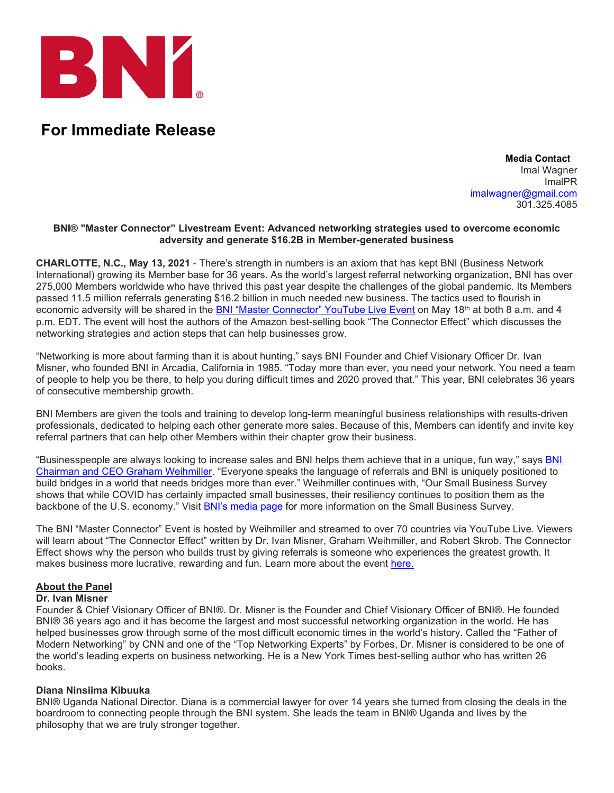

# **For Immediate Release**

 **Media Contact** Imal Wagner ImalPR [imalwagner@gmail.com](mailto:imalwagner@gmail.com) 301.325.4085

#### **BNI® "Master Connector" Livestream Event: Advanced networking strategies used to overcome economic adversity and generate \$16.2B in Member-generated business**

**CHARLOTTE, N.C., May 13, 2021** - There's strength in numbers is an axiom that has kept BNI (Business Network International) growing its Member base for 36 years. As the world's largest referral networking organization, BNI has over 275,000 Members worldwide who have thrived this past year despite the challenges of the global pandemic. Its Members passed 11.5 million referrals generating \$16.2 billion in much needed new business. The tactics used to flourish in economic adversity will be shared in the [BNI "Master Connector" YouTube Live Event](https://cvent.me/Vn54Bn?RefId=PR) on May 18th at both 8 a.m. and 4 p.m. EDT. The event will host the authors of the Amazon best-selling book "The Connector Effect" which discusses the networking strategies and action steps that can help businesses grow.

"Networking is more about farming than it is about hunting," says BNI Founder and Chief Visionary Officer Dr. Ivan Misner, who founded BNI in Arcadia, California in 1985. "Today more than ever, you need your network. You need a team of people to help you be there, to help you during difficult times and 2020 proved that." This year, BNI celebrates 36 years of consecutive membership growth.

BNI Members are given the tools and training to develop long-term meaningful business relationships with results-driven professionals, dedicated to helping each other generate more sales. Because of this, Members can identify and invite key referral partners that can help other Members within their chapter grow their business.

"Businesspeople are always looking to increase sales and BNI helps them achieve that in a unique, fun way," says [BNI](https://www.bni.com/leaders/graham-weihmiller) [Chairman and CEO Graham Weihmiller.](https://www.bni.com/leaders/graham-weihmiller) "Everyone speaks the language of referrals and BNI is uniquely positioned to build bridges in a world that needs bridges more than ever." Weihmiller continues with, "Our Small Business Survey shows that while COVID has certainly impacted small businesses, their resiliency continues to position them as the backbone of the U.S. economy." Visit [BNI's media page](https://www.bni.com/about/media) for more information on the Small Business Survey.

The BNI "Master Connector" Event is hosted by Weihmiller and streamed to over 70 countries via YouTube Live. Viewers will learn about "The Connector Effect" written by Dr. Ivan Misner, Graham Weihmiller, and Robert Skrob. The Connector Effect shows why the person who builds trust by giving referrals is someone who experiences the greatest growth. It makes business more lucrative, rewarding and fun. Learn more about the event [here.](https://cvent.me/Vn54Bn?RefId=PR)

## **About the Panel**

#### **Dr. Ivan Misner**

Founder & Chief Visionary Officer of BNI®. Dr. Misner is the Founder and Chief Visionary Officer of BNI®. He founded BNI® 36 years ago and it has become the largest and most successful networking organization in the world. He has helped businesses grow through some of the most difficult economic times in the world's history. Called the "Father of Modern Networking" by CNN and one of the "Top Networking Experts" by Forbes, Dr. Misner is considered to be one of the world's leading experts on business networking. He is a New York Times best-selling author who has written 26 books.

#### **Diana Ninsiima Kibuuka**

BNI® Uganda National Director. Diana is a commercial lawyer for over 14 years she turned from closing the deals in the boardroom to connecting people through the BNI system. She leads the team in BNI® Uganda and lives by the philosophy that we are truly stronger together.